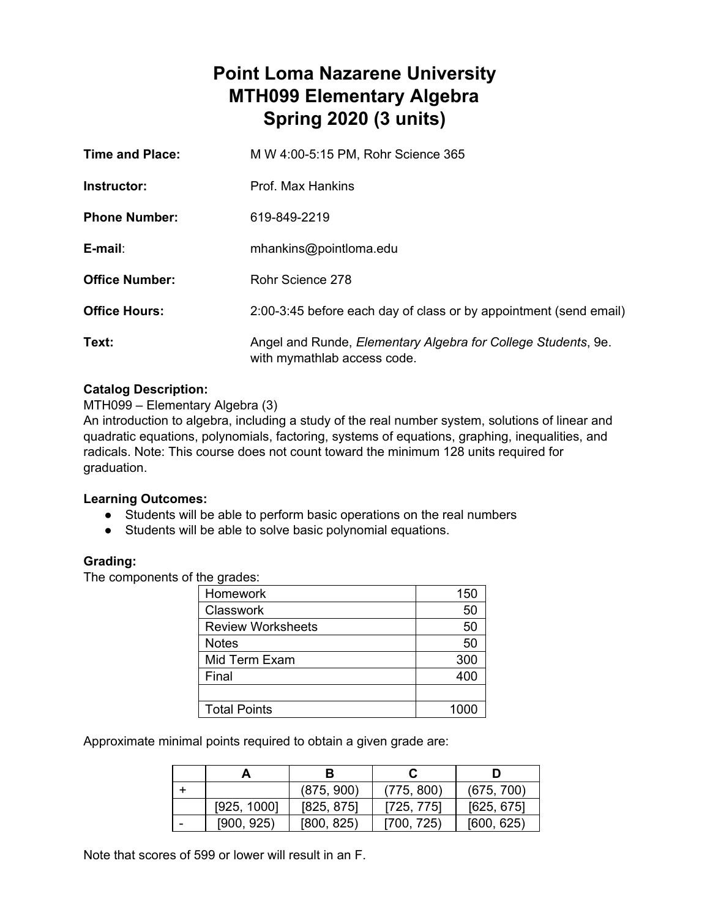# **Point Loma Nazarene University MTH099 Elementary Algebra Spring 2020 (3 units)**

| <b>Time and Place:</b> | M W 4:00-5:15 PM, Rohr Science 365                                                                   |
|------------------------|------------------------------------------------------------------------------------------------------|
| Instructor:            | Prof. Max Hankins                                                                                    |
| <b>Phone Number:</b>   | 619-849-2219                                                                                         |
| $E$ -mail:             | mhankins@pointloma.edu                                                                               |
| <b>Office Number:</b>  | Rohr Science 278                                                                                     |
| <b>Office Hours:</b>   | 2:00-3:45 before each day of class or by appointment (send email)                                    |
| Text:                  | Angel and Runde, <i>Elementary Algebra for College Students</i> , 9e.<br>with mymathlab access code. |

# **Catalog Description:**

MTH099 – Elementary Algebra (3)

An introduction to algebra, including a study of the real number system, solutions of linear and quadratic equations, polynomials, factoring, systems of equations, graphing, inequalities, and radicals. Note: This course does not count toward the minimum 128 units required for graduation.

# **Learning Outcomes:**

- Students will be able to perform basic operations on the real numbers
- Students will be able to solve basic polynomial equations.

# **Grading:**

The components of the grades:

| Homework                 | 150  |
|--------------------------|------|
| <b>Classwork</b>         | 50   |
| <b>Review Worksheets</b> | 50   |
| <b>Notes</b>             | 50   |
| Mid Term Exam            | 300  |
| Final                    | 400  |
|                          |      |
| <b>Total Points</b>      | 1000 |

Approximate minimal points required to obtain a given grade are:

|             | В          |            |            |
|-------------|------------|------------|------------|
|             | (875, 900) | (775, 800) | (675, 700) |
| [925, 1000] | [825, 875] | [725, 775] | [625, 675] |
| [900, 925]  | [800, 825] | [700, 725) | [600, 625] |

Note that scores of 599 or lower will result in an F.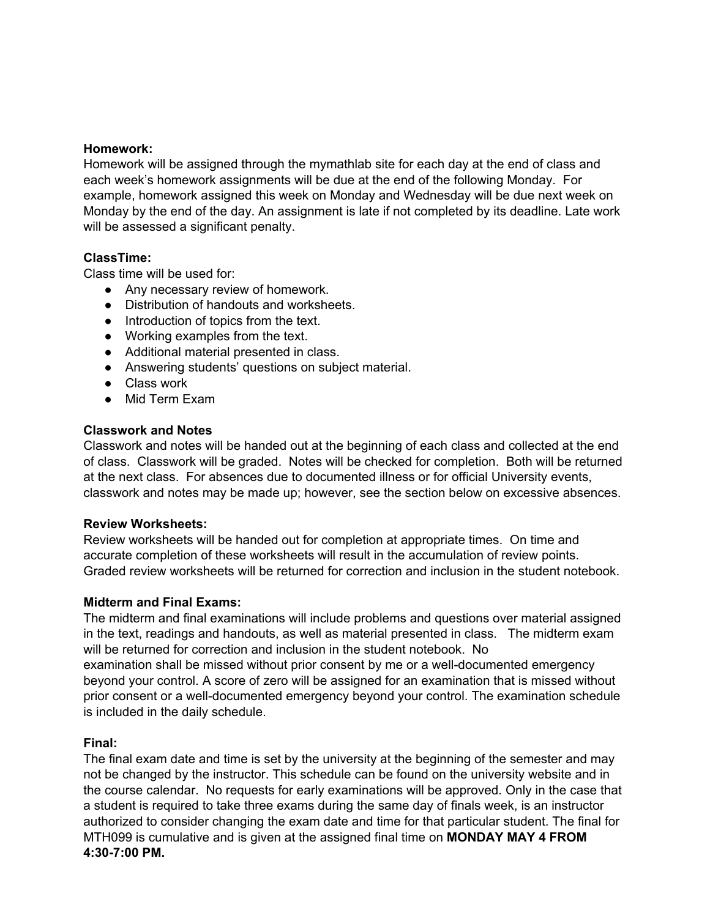#### **Homework:**

Homework will be assigned through the mymathlab site for each day at the end of class and each week's homework assignments will be due at the end of the following Monday. For example, homework assigned this week on Monday and Wednesday will be due next week on Monday by the end of the day. An assignment is late if not completed by its deadline. Late work will be assessed a significant penalty.

#### **ClassTime:**

Class time will be used for:

- Any necessary review of homework.
- Distribution of handouts and worksheets.
- Introduction of topics from the text.
- Working examples from the text.
- Additional material presented in class.
- Answering students' questions on subject material.
- Class work
- Mid Term Fxam

#### **Classwork and Notes**

Classwork and notes will be handed out at the beginning of each class and collected at the end of class. Classwork will be graded. Notes will be checked for completion. Both will be returned at the next class. For absences due to documented illness or for official University events, classwork and notes may be made up; however, see the section below on excessive absences.

#### **Review Worksheets:**

Review worksheets will be handed out for completion at appropriate times. On time and accurate completion of these worksheets will result in the accumulation of review points. Graded review worksheets will be returned for correction and inclusion in the student notebook.

#### **Midterm and Final Exams:**

The midterm and final examinations will include problems and questions over material assigned in the text, readings and handouts, as well as material presented in class. The midterm exam will be returned for correction and inclusion in the student notebook. No examination shall be missed without prior consent by me or a well-documented emergency beyond your control. A score of zero will be assigned for an examination that is missed without

prior consent or a well-documented emergency beyond your control. The examination schedule is included in the daily schedule.

#### **Final:**

The final exam date and time is set by the university at the beginning of the semester and may not be changed by the instructor. This schedule can be found on the university website and in the course calendar. No requests for early examinations will be approved. Only in the case that a student is required to take three exams during the same day of finals week, is an instructor authorized to consider changing the exam date and time for that particular student. The final for MTH099 is cumulative and is given at the assigned final time on **MONDAY MAY 4 FROM 4:30-7:00 PM.**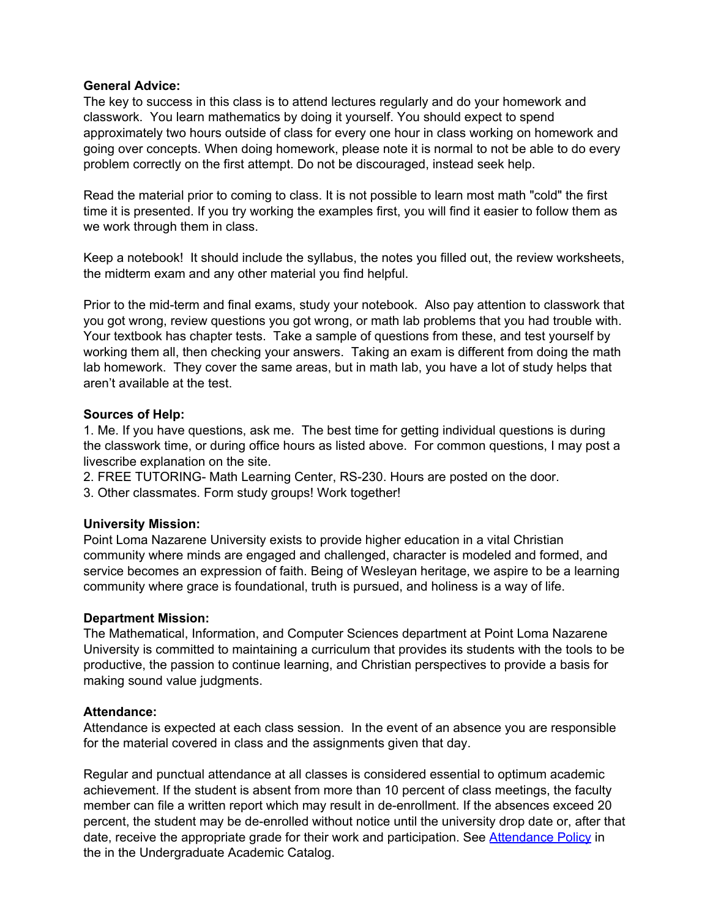#### **General Advice:**

The key to success in this class is to attend lectures regularly and do your homework and classwork. You learn mathematics by doing it yourself. You should expect to spend approximately two hours outside of class for every one hour in class working on homework and going over concepts. When doing homework, please note it is normal to not be able to do every problem correctly on the first attempt. Do not be discouraged, instead seek help.

Read the material prior to coming to class. It is not possible to learn most math "cold" the first time it is presented. If you try working the examples first, you will find it easier to follow them as we work through them in class.

Keep a notebook! It should include the syllabus, the notes you filled out, the review worksheets, the midterm exam and any other material you find helpful.

Prior to the mid-term and final exams, study your notebook. Also pay attention to classwork that you got wrong, review questions you got wrong, or math lab problems that you had trouble with. Your textbook has chapter tests. Take a sample of questions from these, and test yourself by working them all, then checking your answers. Taking an exam is different from doing the math lab homework. They cover the same areas, but in math lab, you have a lot of study helps that aren't available at the test.

#### **Sources of Help:**

1. Me. If you have questions, ask me. The best time for getting individual questions is during the classwork time, or during office hours as listed above. For common questions, I may post a livescribe explanation on the site.

- 2. FREE TUTORING- Math Learning Center, RS-230. Hours are posted on the door.
- 3. Other classmates. Form study groups! Work together!

# **University Mission:**

Point Loma Nazarene University exists to provide higher education in a vital Christian community where minds are engaged and challenged, character is modeled and formed, and service becomes an expression of faith. Being of Wesleyan heritage, we aspire to be a learning community where grace is foundational, truth is pursued, and holiness is a way of life.

#### **Department Mission:**

The Mathematical, Information, and Computer Sciences department at Point Loma Nazarene University is committed to maintaining a curriculum that provides its students with the tools to be productive, the passion to continue learning, and Christian perspectives to provide a basis for making sound value judgments.

#### **Attendance:**

Attendance is expected at each class session. In the event of an absence you are responsible for the material covered in class and the assignments given that day.

Regular and punctual attendance at all classes is considered essential to optimum academic achievement. If the student is absent from more than 10 percent of class meetings, the faculty member can file a written report which may result in de-enrollment. If the absences exceed 20 percent, the student may be de-enrolled without notice until the university drop date or, after that date, receive the appropriate grade for their work and participation. See [Attendance](https://catalog.pointloma.edu/content.php?catoid=28&navoid=1761#Class_Attendance) Policy in the in the Undergraduate Academic Catalog.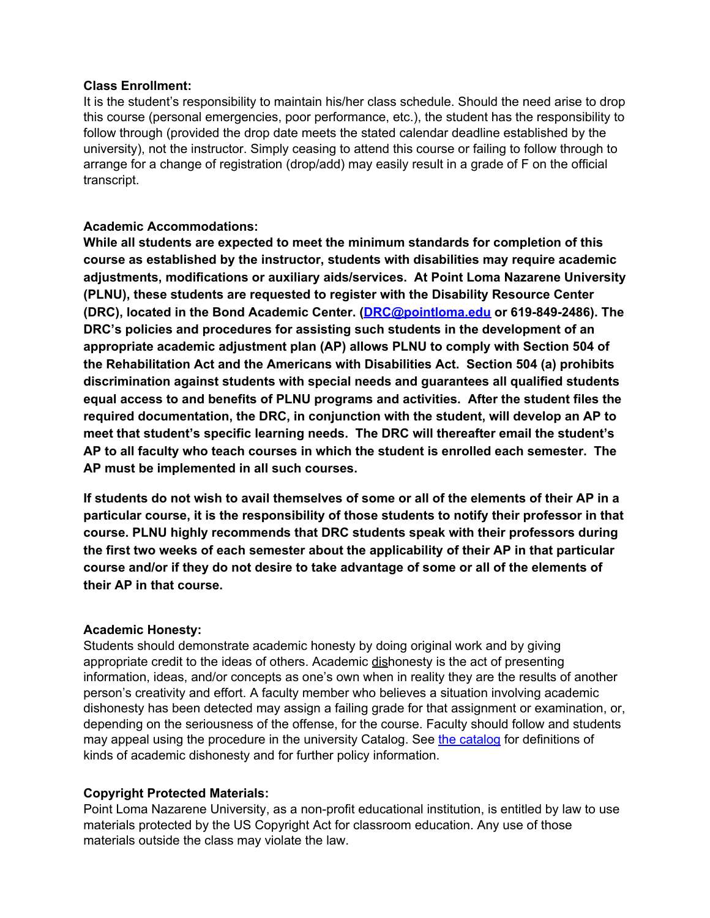#### **Class Enrollment:**

It is the student's responsibility to maintain his/her class schedule. Should the need arise to drop this course (personal emergencies, poor performance, etc.), the student has the responsibility to follow through (provided the drop date meets the stated calendar deadline established by the university), not the instructor. Simply ceasing to attend this course or failing to follow through to arrange for a change of registration (drop/add) may easily result in a grade of F on the official transcript.

# **Academic Accommodations:**

**While all students are expected to meet the minimum standards for completion of this course as established by the instructor, students with disabilities may require academic adjustments, modifications or auxiliary aids/services. At Point Loma Nazarene University (PLNU), these students are requested to register with the Disability Resource Center (DRC), located in the Bond Academic Center. (DRC@pointloma.edu or 619-849-2486). The DRC's policies and procedures for assisting such students in the development of an appropriate academic adjustment plan (AP) allows PLNU to comply with Section 504 of the Rehabilitation Act and the Americans with Disabilities Act. Section 504 (a) prohibits discrimination against students with special needs and guarantees all qualified students equal access to and benefits of PLNU programs and activities. After the student files the required documentation, the DRC, in conjunction with the student, will develop an AP to meet that student's specific learning needs. The DRC will thereafter email the student's AP to all faculty who teach courses in which the student is enrolled each semester. The AP must be implemented in all such courses.**

If students do not wish to avail themselves of some or all of the elements of their AP in a **particular course, it is the responsibility of those students to notify their professor in that course. PLNU highly recommends that DRC students speak with their professors during the first two weeks of each semester about the applicability of their AP in that particular course and/or if they do not desire to take advantage of some or all of the elements of their AP in that course.**

# **Academic Honesty:**

Students should demonstrate academic honesty by doing original work and by giving appropriate credit to the ideas of others. Academic dishonesty is the act of presenting information, ideas, and/or concepts as one's own when in reality they are the results of another person's creativity and effort. A faculty member who believes a situation involving academic dishonesty has been detected may assign a failing grade for that assignment or examination, or, depending on the seriousness of the offense, for the course. Faculty should follow and students may appeal using the procedure in the university Catalog. See the [catalog](https://catalog.pointloma.edu/content.php?catoid=28&navoid=1761#Academic_Honesty) for definitions of kinds of academic dishonesty and for further policy information.

# **Copyright Protected Materials:**

Point Loma Nazarene University, as a non-profit educational institution, is entitled by law to use materials protected by the US Copyright Act for classroom education. Any use of those materials outside the class may violate the law.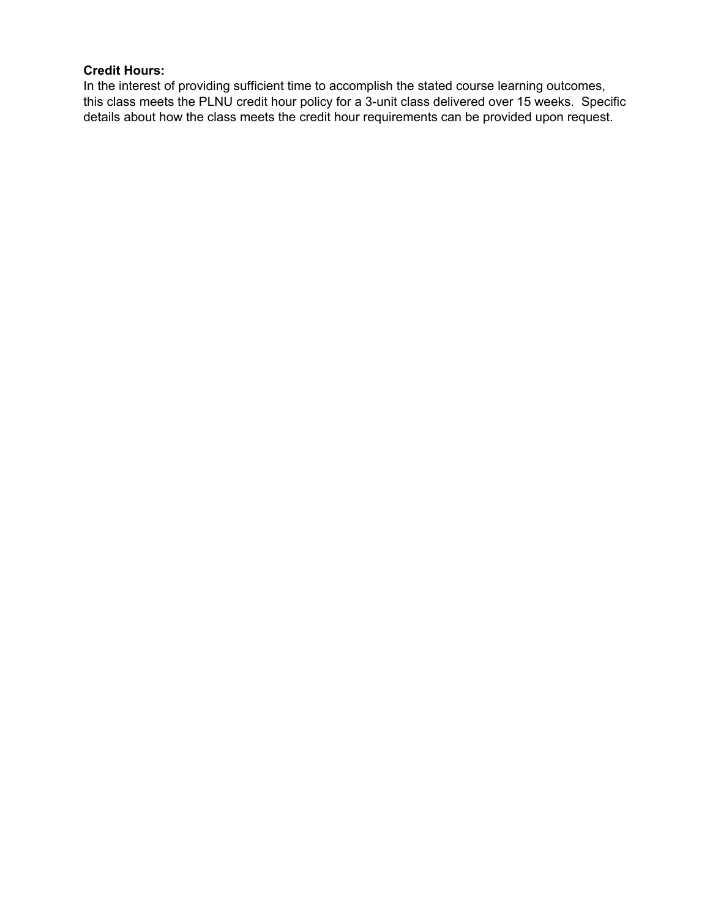# **Credit Hours:**

In the interest of providing sufficient time to accomplish the stated course learning outcomes, this class meets the PLNU credit hour policy for a 3-unit class delivered over 15 weeks. Specific details about how the class meets the credit hour requirements can be provided upon request.